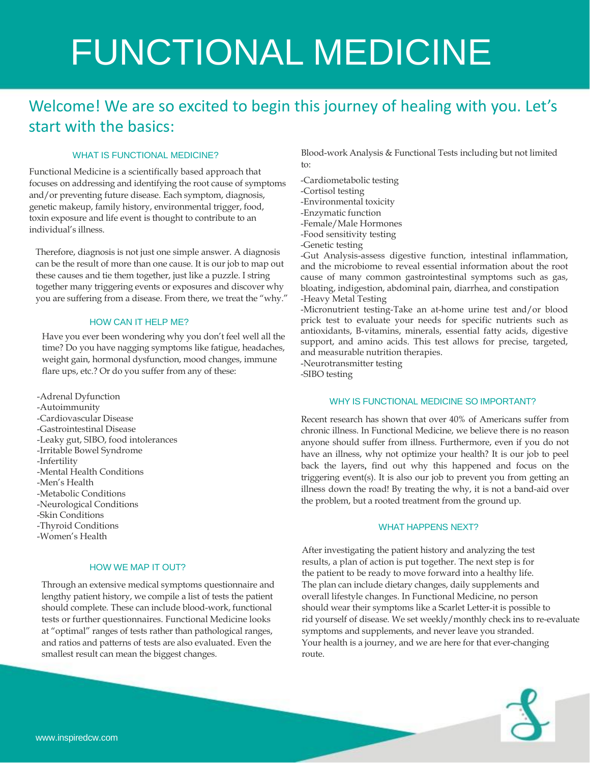# FUNCTIONAL MEDICINE

## Welcome! We are so excited to begin this journey of healing with you. Let's start with the basics:

#### WHAT IS FUNCTIONAL MEDICINE?

Functional Medicine is a scientifically based approach that focuses on addressing and identifying the root cause of symptoms and/or preventing future disease. Each symptom, diagnosis, genetic makeup, family history, environmental trigger, food, toxin exposure and life event is thought to contribute to an individual's illness.

Therefore, diagnosis is not just one simple answer. A diagnosis can be the result of more than one cause. It is our job to map out these causes and tie them together, just like a puzzle. I string together many triggering events or exposures and discover why you are suffering from a disease. From there, we treat the "why."

#### HOW CAN IT HELP ME?

Have you ever been wondering why you don't feel well all the time? Do you have nagging symptoms like fatigue, headaches, weight gain, hormonal dysfunction, mood changes, immune flare ups, etc.? Or do you suffer from any of these:

-Adrenal Dyfunction -Autoimmunity -Cardiovascular Disease -Gastrointestinal Disease -Leaky gut, SIBO, food intolerances -Irritable Bowel Syndrome -Infertility -Mental Health Conditions -Men's Health -Metabolic Conditions -Neurological Conditions -Skin Conditions -Thyroid Conditions -Women's Health

#### HOW WE MAP IT OUT?

Through an extensive medical symptoms questionnaire and lengthy patient history, we compile a list of tests the patient should complete. These can include blood-work, functional tests or further questionnaires. Functional Medicine looks at "optimal" ranges of tests rather than pathological ranges, and ratios and patterns of tests are also evaluated. Even the smallest result can mean the biggest changes.

Blood-work Analysis & Functional Tests including but not limited to:

- -Cardiometabolic testing -Cortisol testing
- -Environmental toxicity
- -Enzymatic function
- -Female/Male Hormones
- -Food sensitivity testing
- -Genetic testing

-Gut Analysis-assess digestive function, intestinal inflammation, and the microbiome to reveal essential information about the root cause of many common gastrointestinal symptoms such as gas, bloating, indigestion, abdominal pain, diarrhea, and constipation -Heavy Metal Testing

-Micronutrient testing-Take an at-home urine test and/or blood prick test to evaluate your needs for specific nutrients such as antioxidants, B-vitamins, minerals, essential fatty acids, digestive support, and amino acids. This test allows for precise, targeted, and measurable nutrition therapies.

-Neurotransmitter testing

-SIBO testing

#### WHY IS FUNCTIONAL MEDICINE SO IMPORTANT?

Recent research has shown that over 40% of Americans suffer from chronic illness. In Functional Medicine, we believe there is no reason anyone should suffer from illness. Furthermore, even if you do not have an illness, why not optimize your health? It is our job to peel back the layers, find out why this happened and focus on the triggering event(s). It is also our job to prevent you from getting an illness down the road! By treating the why, it is not a band-aid over the problem, but a rooted treatment from the ground up.

#### WHAT HAPPENS NEXT?

After investigating the patient history and analyzing the test results, a plan of action is put together. The next step is for the patient to be ready to move forward into a healthy life. The plan can include dietary changes, daily supplements and overall lifestyle changes. In Functional Medicine, no person should wear their symptoms like a Scarlet Letter-it is possible to rid yourself of disease. We set weekly/monthly check ins to re-evaluate symptoms and supplements, and never leave you stranded. Your health is a journey, and we are here for that ever-changing route.

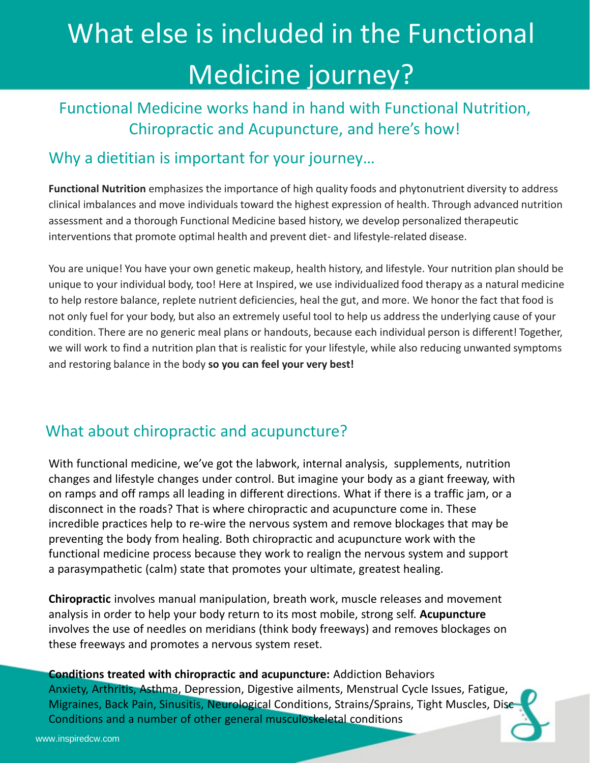# What else is included in the Functional Medicine journey?

## Functional Medicine works hand in hand with Functional Nutrition, Chiropractic and Acupuncture, and here's how!

## Why a dietitian is important for your journey...

**Functional Nutrition** emphasizes the importance of high quality foods and phytonutrient diversity to address clinical imbalances and move individuals toward the highest expression of health. Through advanced nutrition assessment and a thorough Functional Medicine based history, we develop personalized therapeutic interventions that promote optimal health and prevent diet- and lifestyle-related disease.

You are unique! You have your own genetic makeup, health history, and lifestyle. Your nutrition plan should be unique to your individual body, too! Here at Inspired, we use individualized food therapy as a natural medicine to help restore balance, replete nutrient deficiencies, heal the gut, and more. We honor the fact that food is not only fuel for your body, but also an extremely useful tool to help us address the underlying cause of your condition. There are no generic meal plans or handouts, because each individual person is different! Together, we will work to find a nutrition plan that is realistic for your lifestyle, while also reducing unwanted symptoms and restoring balance in the body **so you can feel your very best!**

## What about chiropractic and acupuncture?

With functional medicine, we've got the labwork, internal analysis, supplements, nutrition changes and lifestyle changes under control. But imagine your body as a giant freeway, with on ramps and off ramps all leading in different directions. What if there is a traffic jam, or a disconnect in the roads? That is where chiropractic and acupuncture come in. These incredible practices help to re-wire the nervous system and remove blockages that may be preventing the body from healing. Both chiropractic and acupuncture work with the functional medicine process because they work to realign the nervous system and support a parasympathetic (calm) state that promotes your ultimate, greatest healing.

**Chiropractic** involves manual manipulation, breath work, muscle releases and movement analysis in order to help your body return to its most mobile, strong self. **Acupuncture** involves the use of needles on meridians (think body freeways) and removes blockages on these freeways and promotes a nervous system reset.

**Conditions treated with chiropractic and acupuncture:** Addiction Behaviors Anxiety, Arthritis, Asthma, Depression, Digestive ailments, Menstrual Cycle Issues, Fatigue, Migraines, Back Pain, Sinusitis, Neurological Conditions, Strains/Sprains, Tight Muscles, Disc Conditions and a number of other general musculoskeletal conditions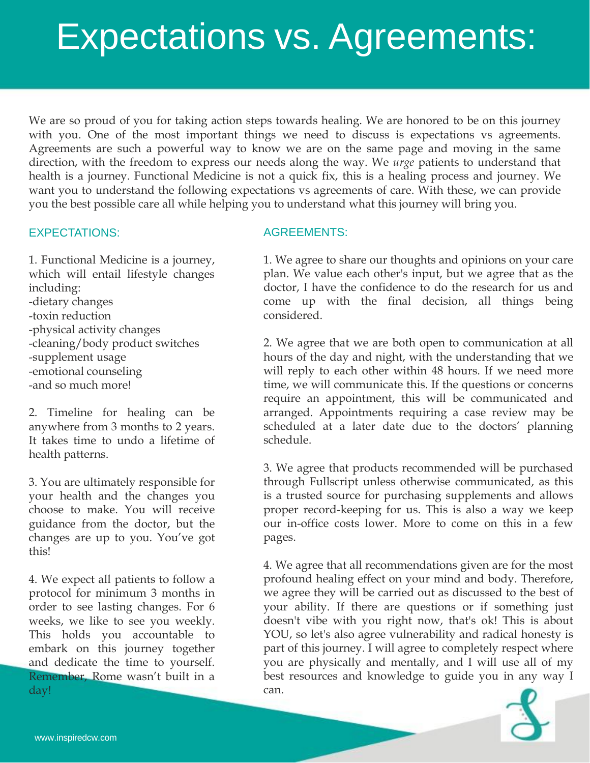# Expectations vs. Agreements:

We are so proud of you for taking action steps towards healing. We are honored to be on this journey with you. One of the most important things we need to discuss is expectations vs agreements. Agreements are such a powerful way to know we are on the same page and moving in the same direction, with the freedom to express our needs along the way. We *urge* patients to understand that health is a journey. Functional Medicine is not a quick fix, this is a healing process and journey. We want you to understand the following expectations vs agreements of care. With these, we can provide you the best possible care all while helping you to understand what this journey will bring you.

#### EXPECTATIONS:

1. Functional Medicine is a journey, which will entail lifestyle changes including: -dietary changes -toxin reduction -physical activity changes -cleaning/body product switches -supplement usage -emotional counseling -and so much more!

2. Timeline for healing can be anywhere from 3 months to 2 years. It takes time to undo a lifetime of health patterns.

3. You are ultimately responsible for your health and the changes you choose to make. You will receive guidance from the doctor, but the changes are up to you. You've got this!

4. We expect all patients to follow a protocol for minimum 3 months in order to see lasting changes. For 6 weeks, we like to see you weekly. This holds you accountable to embark on this journey together and dedicate the time to yourself. Remember, Rome wasn't built in a day!

### AGREEMENTS:

1. We agree to share our thoughts and opinions on your care plan. We value each other's input, but we agree that as the doctor, I have the confidence to do the research for us and come up with the final decision, all things being considered.

2. We agree that we are both open to communication at all hours of the day and night, with the understanding that we will reply to each other within 48 hours. If we need more time, we will communicate this. If the questions or concerns require an appointment, this will be communicated and arranged. Appointments requiring a case review may be scheduled at a later date due to the doctors' planning schedule.

3. We agree that products recommended will be purchased through Fullscript unless otherwise communicated, as this is a trusted source for purchasing supplements and allows proper record-keeping for us. This is also a way we keep our in-office costs lower. More to come on this in a few pages.

4. We agree that all recommendations given are for the most profound healing effect on your mind and body. Therefore, we agree they will be carried out as discussed to the best of your ability. If there are questions or if something just doesn't vibe with you right now, that's ok! This is about YOU, so let's also agree vulnerability and radical honesty is part of this journey. I will agree to completely respect where you are physically and mentally, and I will use all of my best resources and knowledge to guide you in any way I can.

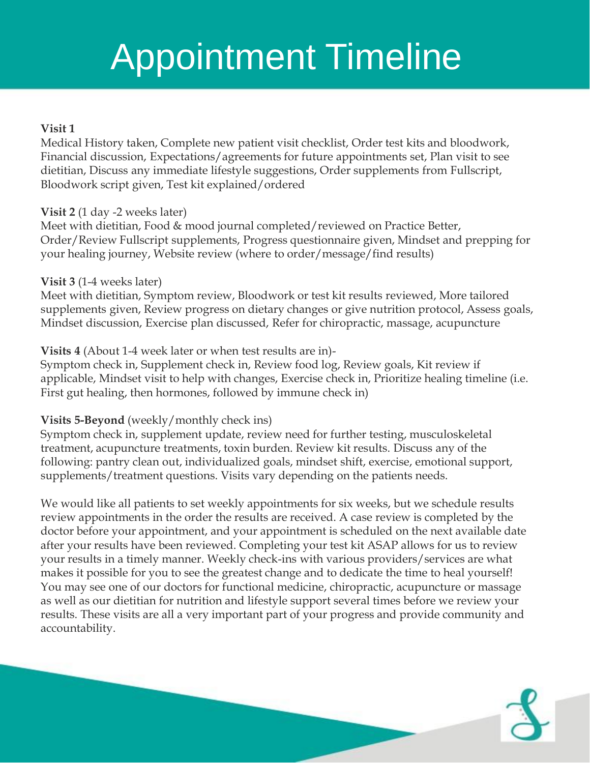## Annointmant Timaling During Pregnancy Appointment Timeline

#### $V_{\rm tot}$  1 **Visit 1**

for a some and health situation, but it has some particular benefits for pregnant mothers. Regular chiropracticular chiropracticular chiropracticular chiropracticular chiropracticular chiropracticular chiropracticular chi Medical History taken, Complete new patient visit checklist, Order test kits and bloodwork, Financial discussion, Expectations/agreements for future appointments set, Plan visit to see dietitian, Discuss any immediate lifestyle suggestions, Order supplements from Fullscript, Bloodwork script given, Test kit explained/ordered

### **Visit 2** (1 day -2 weeks later)

Meet with dietitian, Food & mood journal completed/reviewed on Practice Better,<br>Order/Review Fullscript supplements, Progress questionnaire given, Mindset and prepping for Order/Review Fullscript supplements, Progress questionnaire given, Mindset and prepping for your healing journey, Website review (where to order/message/find results)

### **Visit 3** (1-4 weeks later)

non<br>Ieet<br>1ppl<br>1  $\text{EVAL}$  ease pregnancy symptoms  $\text{EVAL}$ Meet with dietitian, Symptom review, Bloodwork or test kit results reviewed, More tailored supplements given, Review progress on dietary changes or give nutrition protocol, Assess goals, Mindset discussion, Exercise plan discussed, Refer for chiropractic, massage, acupuncture

### **Visits 4** (About 1-4 week later or when test results are in)-

xxx<br>ymp<br>pplic Symptom check in, Supplement check in, Review food log, Review goals, Kit review if applicable, Mindset visit to help with changes, Exercise check in, Prioritize healing timeline (i.e. First gut healing, then hormones, followed by immune check in)

### **Visits 5-Beyond** (weekly/monthly check ins)

xxx<br>ymp<br>xllox Symptom check in, supplement update, review need for further testing, musculoskeletal treatment, acupuncture treatments, toxin burden. Review kit results. Discuss any of the following: pantry clean out, individualized goals, mindset shift, exercise, emotional support, supplements/treatment questions. Visits vary depending on the patients needs.

Ve w<br>evier Better Labor and Birth Chiropractic adjustments can help shorten labor and make the birth process easier. If We would like all patients to set weekly appointments for six weeks, but we schedule results review appointments in the order the results are received. A case review is completed by the doctor before your appointment, and your appointment is scheduled on the next available date makes it possible for you to see the greatest change and to dedicate the time to heal yourself! You may see one of our doctors for functional medicine, chiropractic, acupuncture or massage babies can be adjusted for any strategies can be checked for any substant process. Finally, chirage from the birth process. Finally, chirage from the birth process. Finally, chirage from the birth process. Finally, chirage as well as our dietitian for nutrition and lifestyle support several times before we review your results. These visits are all a very important part of your progress and provide community and after your results have been reviewed. Completing your test kit ASAP allows for us to review your results in a timely manner. Weekly check-ins with various providers/services are what accountability.

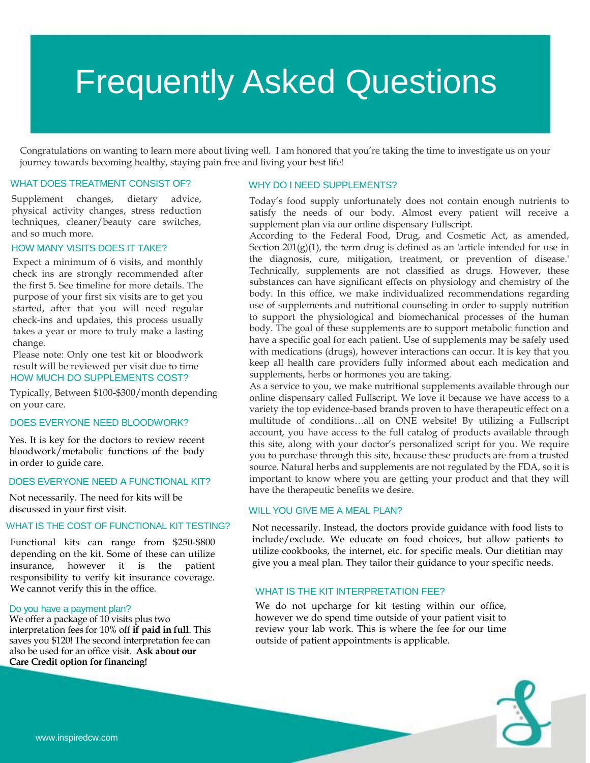# Frequently Asked Questions

Congratulations on wanting to learn more about living well. I am honored that you're taking the time to investigate us on your journey towards becoming healthy, staying pain free and living your best life!

#### WHAT DOES TREATMENT CONSIST OF? WHY DO I NEED SUPPLEMENTS?

Supplement changes, dietary advice, physical activity changes, stress reduction techniques, cleaner/beauty care switches, and so much more.

#### HOW MANY VISITS DOES IT TAKE?

Expect a minimum of 6 visits, and monthly check ins are strongly recommended after the first 5. See timeline for more details. The purpose of your first six visits are to get you started, after that you will need regular check-ins and updates, this process usually takes a year or more to truly make a lasting change.

HOW MUCH DO SUPPLEMENTS COST? Please note: Only one test kit or bloodwork result will be reviewed per visit due to time

Typically, Between \$100-\$300/month depending on your care.

#### DOES EVERYONE NEED BLOODWORK?

Yes. It is key for the doctors to review recent bloodwork/metabolic functions of the body in order to guide care.

#### DOES EVERYONE NEED A FUNCTIONAL KIT?

Not necessarily. The need for kits will be discussed in your first visit.

#### WHAT IS THE COST OF FUNCTIONAL KIT TESTING?

Functional kits can range from \$250-\$800 depending on the kit. Some of these can utilize insurance, however it is the patient responsibility to verify kit insurance coverage. We cannot verify this in the office.

#### Do you have a payment plan?

We offer a package of 10 visits plus two interpretation fees for 10% off **if paid in full**. This saves you \$120! The second interpretation fee can also be used for an office visit. **Ask about our Care Credit option for financing!**

Today's food supply unfortunately does not contain enough nutrients to satisfy the needs of our body. Almost every patient will receive a supplement plan via our online dispensary Fullscript.

According to the Federal Food, Drug, and Cosmetic Act, as amended, Section  $201(g)(1)$ , the term drug is defined as an 'article intended for use in the diagnosis, cure, mitigation, treatment, or prevention of disease.' Technically, supplements are not classified as drugs. However, these substances can have significant effects on physiology and chemistry of the body. In this office, we make individualized recommendations regarding use of supplements and nutritional counseling in order to supply nutrition to support the physiological and biomechanical processes of the human body. The goal of these supplements are to support metabolic function and have a specific goal for each patient. Use of supplements may be safely used with medications (drugs), however interactions can occur. It is key that you keep all health care providers fully informed about each medication and supplements, herbs or hormones you are taking.

As a service to you, we make nutritional supplements available through our online dispensary called Fullscript. We love it because we have access to a variety the top evidence-based brands proven to have therapeutic effect on a multitude of conditions…all on ONE website! By utilizing a Fullscript account, you have access to the full catalog of products available through this site, along with your doctor's personalized script for you. We require you to purchase through this site, because these products are from a trusted source. Natural herbs and supplements are not regulated by the FDA, so it is important to know where you are getting your product and that they will have the therapeutic benefits we desire.

#### WILL YOU GIVE ME A MEAL PLAN?

Not necessarily. Instead, the doctors provide guidance with food lists to include/exclude. We educate on food choices, but allow patients to utilize cookbooks, the internet, etc. for specific meals. Our dietitian may give you a meal plan. They tailor their guidance to your specific needs.

#### WHAT IS THE KIT INTERPRETATION FEE?

We do not upcharge for kit testing within our office, however we do spend time outside of your patient visit to review your lab work. This is where the fee for our time outside of patient appointments is applicable.

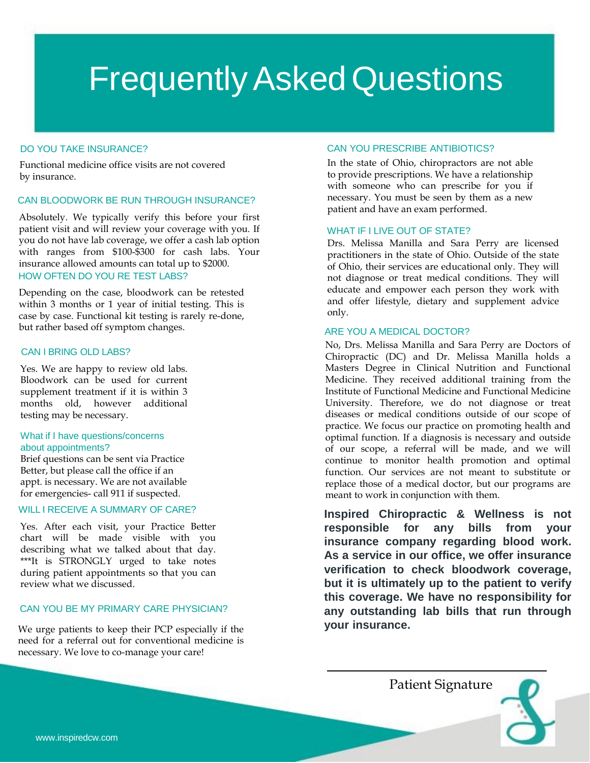# **Frequently Asked Questions**

#### DO YOU TAKE INSURANCE?

Functional medicine office visits are not covered by insurance.

#### CAN BLOODWORK BE RUN THROUGH INSURANCE?

HOW OFTEN DO YOU RE TEST LABS? Absolutely. We typically verify this before your first patient visit and will review your coverage with you. If you do not have lab coverage, we offer a cash lab option with ranges from \$100-\$300 for cash labs. Your insurance allowed amounts can total up to \$2000.

Depending on the case, bloodwork can be retested within 3 months or 1 year of initial testing. This is case by case. Functional kit testing is rarely re-done, but rather based off symptom changes.

#### CAN I BRING OLD LABS?

Yes. We are happy to review old labs. Bloodwork can be used for current supplement treatment if it is within 3 months old, however additional testing may be necessary.

#### What if I have questions/concerns about appointments?

Brief questions can be sent via Practice Better, but please call the office if an appt. is necessary. We are not available for emergencies- call 911 if suspected.

#### WILL I RECEIVE A SUMMARY OF CARE?

Yes. After each visit, your Practice Better chart will be made visible with you describing what we talked about that day. \*\*\*It is STRONGLY urged to take notes during patient appointments so that you can review what we discussed.

#### CAN YOU BE MY PRIMARY CARE PHYSICIAN?

We urge patients to keep their PCP especially if the need for a referral out for conventional medicine is necessary. We love to co-manage your care!

#### CAN YOU PRESCRIBE ANTIBIOTICS?

In the state of Ohio, chiropractors are not able to provide prescriptions. We have a relationship with someone who can prescribe for you if necessary. You must be seen by them as a new patient and have an exam performed.

#### WHAT IF I LIVE OUT OF STATE?

Drs. Melissa Manilla and Sara Perry are licensed practitioners in the state of Ohio. Outside of the state of Ohio, their services are educational only. They will not diagnose or treat medical conditions. They will educate and empower each person they work with and offer lifestyle, dietary and supplement advice only.

#### ARE YOU A MEDICAL DOCTOR?

No, Drs. Melissa Manilla and Sara Perry are Doctors of Chiropractic (DC) and Dr. Melissa Manilla holds a Masters Degree in Clinical Nutrition and Functional Medicine. They received additional training from the Institute of Functional Medicine and Functional Medicine University. Therefore, we do not diagnose or treat diseases or medical conditions outside of our scope of practice. We focus our practice on promoting health and optimal function. If a diagnosis is necessary and outside of our scope, a referral will be made, and we will continue to monitor health promotion and optimal function. Our services are not meant to substitute or replace those of a medical doctor, but our programs are meant to work in conjunction with them.

**this coverage.** We have no responsibility for **Inspired Chiropractic & Wellness is not responsible for any bills from your insurance company regarding blood work. As a service in our office, we offer insurance verification to check bloodwork coverage, but it is ultimately up to the patient to verify any outstanding lab bills that run through your insurance.**

Patient Signature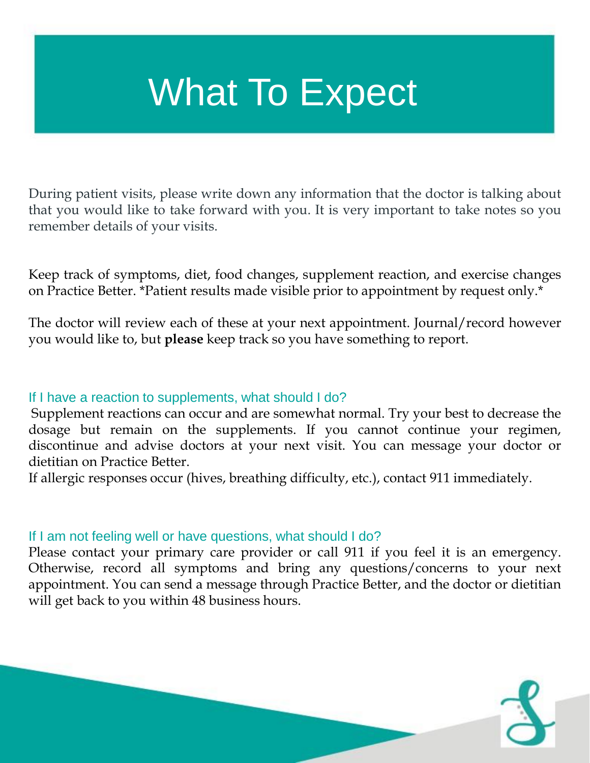# What To Expect

During patient visits, please write down any information that the doctor is talking about that you would like to take forward with you. It is very important to take notes so you remember details of your visits.

Keep track of symptoms, diet, food changes, supplement reaction, and exercise changes on Practice Better. \*Patient results made visible prior to appointment by request only.\*

The doctor will review each of these at your next appointment. Journal/record however you would like to, but **please** keep track so you have something to report.

### If I have a reaction to supplements, what should I do?

Supplement reactions can occur and are somewhat normal. Try your best to decrease the dosage but remain on the supplements. If you cannot continue your regimen, discontinue and advise doctors at your next visit. You can message your doctor or dietitian on Practice Better.

If allergic responses occur (hives, breathing difficulty, etc.), contact 911 immediately.

### If I am not feeling well or have questions, what should I do?

Please contact your primary care provider or call 911 if you feel it is an emergency. Otherwise, record all symptoms and bring any questions/concerns to your next appointment. You can send a message through Practice Better, and the doctor or dietitian will get back to you within 48 business hours.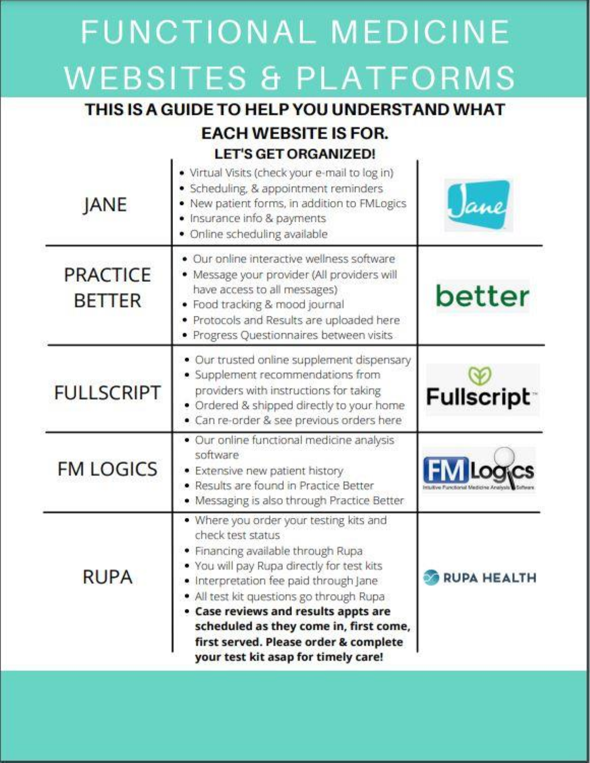# **FUNCTIONAL MEDICINE WEBSITES & PLATFORMS**

## THIS IS A GUIDE TO HELP YOU UNDERSTAND WHAT **EACH WEBSITE IS FOR.**

### **LET'S GET ORGANIZED!**

| <b>JANE</b>                      | · Virtual Visits (check your e-mail to log in)<br>· Scheduling, & appointment reminders<br>. New patient forms, in addition to FMLogics<br>· Insurance info & payments<br>· Online scheduling available                                                                                                                                                                                                  | ane                |
|----------------------------------|----------------------------------------------------------------------------------------------------------------------------------------------------------------------------------------------------------------------------------------------------------------------------------------------------------------------------------------------------------------------------------------------------------|--------------------|
| <b>PRACTICE</b><br><b>BETTER</b> | · Our online interactive wellness software<br>· Message your provider (All providers will<br>have access to all messages)<br>· Food tracking & mood journal<br>· Protocols and Results are uploaded here<br>· Progress Questionnaires between visits                                                                                                                                                     | better             |
| <b>FULLSCRIPT</b>                | · Our trusted online supplement dispensary<br>· Supplement recommendations from<br>providers with instructions for taking<br>. Ordered & shipped directly to your home<br>· Can re-order & see previous orders here                                                                                                                                                                                      | <b>Fullscript</b>  |
| <b>FM LOGICS</b>                 | · Our online functional medicine analysis<br>software<br>· Extensive new patient history<br>· Results are found in Practice Better<br>· Messaging is also through Practice Better                                                                                                                                                                                                                        | Loa.               |
| <b>RUPA</b>                      | . Where you order your testing kits and<br>check test status<br>· Financing available through Rupa<br>. You will pay Rupa directly for test kits<br>. Interpretation fee paid through Jane<br>. All test kit questions go through Rupa<br>. Case reviews and results appts are<br>scheduled as they come in, first come,<br>first served. Please order & complete<br>your test kit asap for timely care! | <b>RUPA HEALTH</b> |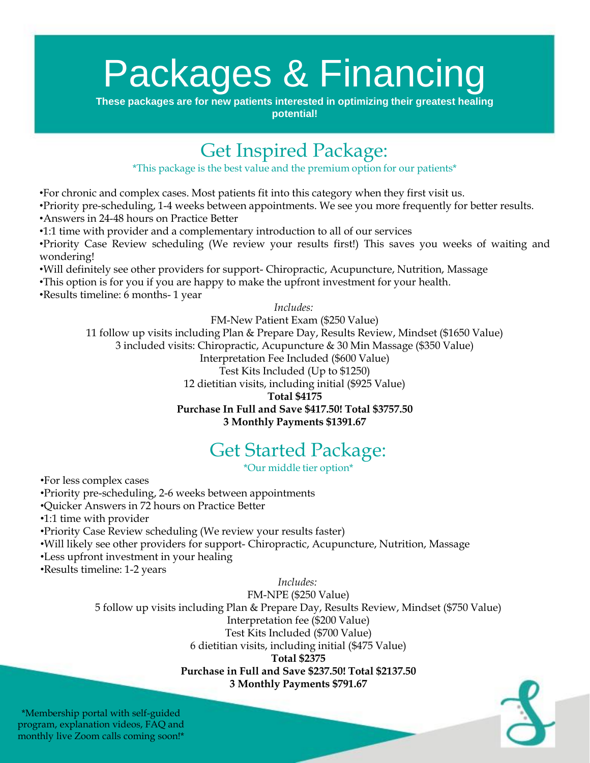# Packages & Financing

**These packages are for new patients interested in optimizing their greatest healing potential!** 

## Get Inspired Package:

\*This package is the best value and the premium option for our patients\*

•For chronic and complex cases. Most patients fit into this category when they first visit us.

•Priority pre-scheduling, 1-4 weeks between appointments. We see you more frequently for better results. •Answers in 24-48 hours on Practice Better

•1:1 time with provider and a complementary introduction to all of our services

•Priority Case Review scheduling (We review your results first!) This saves you weeks of waiting and wondering!

•Will definitely see other providers for support- Chiropractic, Acupuncture, Nutrition, Massage

•This option is for you if you are happy to make the upfront investment for your health.

•Results timeline: 6 months- 1 year

*Includes:*

FM-New Patient Exam (\$250 Value) 11 follow up visits including Plan & Prepare Day, Results Review, Mindset (\$1650 Value) 3 included visits: Chiropractic, Acupuncture & 30 Min Massage (\$350 Value) Interpretation Fee Included (\$600 Value)

Test Kits Included (Up to \$1250)

12 dietitian visits, including initial (\$925 Value)

**Total \$4175**

#### **Purchase In Full and Save \$417.50! Total \$3757.50 3 Monthly Payments \$1391.67**

## Get Started Package:

\*Our middle tier option\*

•For less complex cases

•Priority pre-scheduling, 2-6 weeks between appointments

•Quicker Answers in 72 hours on Practice Better

•1:1 time with provider

•Priority Case Review scheduling (We review your results faster)

•Will likely see other providers for support- Chiropractic, Acupuncture, Nutrition, Massage

•Less upfront investment in your healing

•Results timeline: 1-2 years

*Includes:*

FM-NPE (\$250 Value)

5 follow up visits including Plan & Prepare Day, Results Review, Mindset (\$750 Value)

Interpretation fee (\$200 Value)

Test Kits Included (\$700 Value)

6 dietitian visits, including initial (\$475 Value)

**Total \$2375**

**Purchase in Full and Save \$237.50! Total \$2137.50**

**3 Monthly Payments \$791.67**

\*Membership portal with self-guided program, explanation videos, FAQ and monthly live Zoom calls coming soon!\*